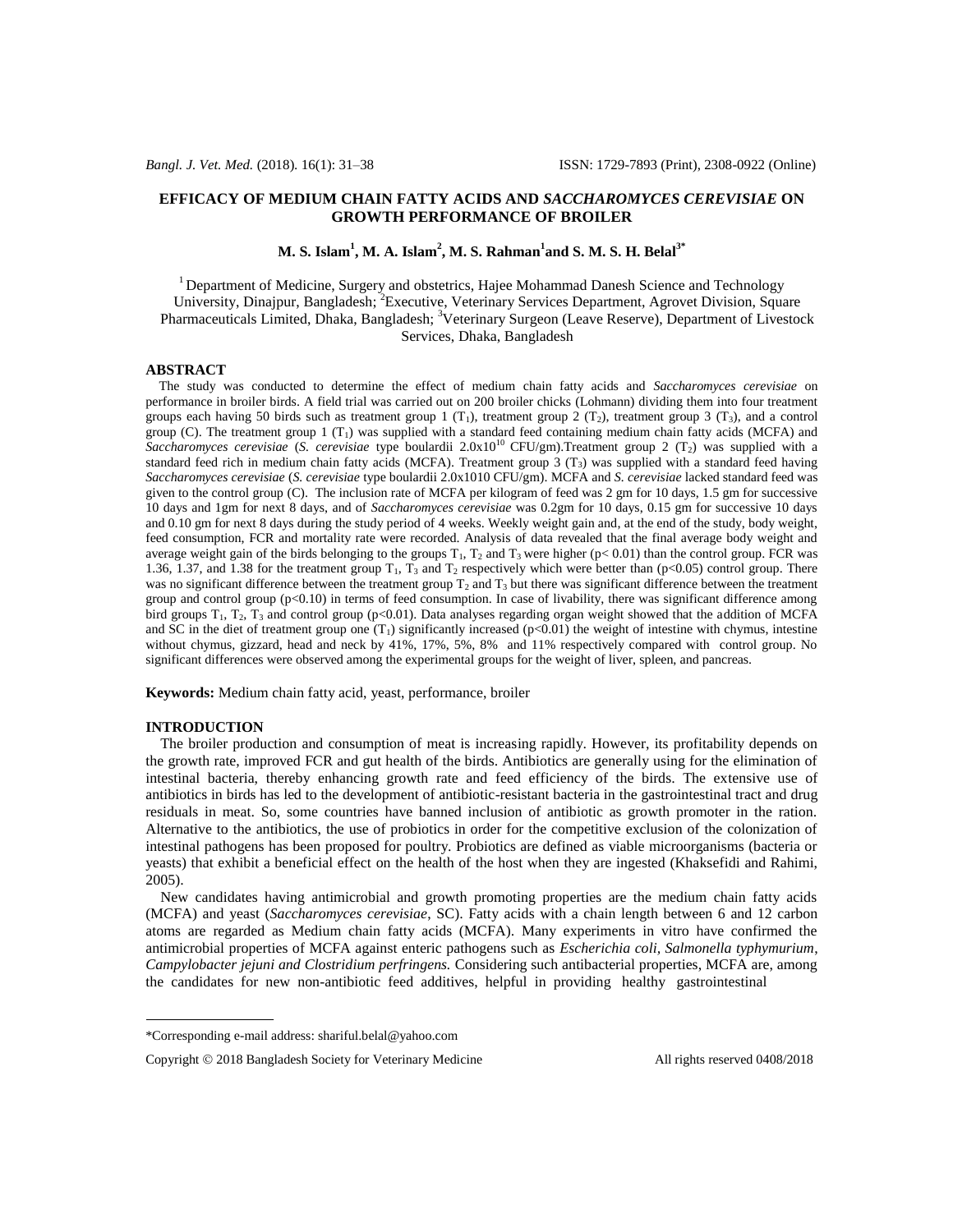## **EFFICACY OF MEDIUM CHAIN FATTY ACIDS AND** *SACCHAROMYCES CEREVISIAE* **ON GROWTH PERFORMANCE OF BROILER**

**M. S. Islam<sup>1</sup> , M. A. Islam<sup>2</sup> , M. S. Rahman<sup>1</sup> and S. M. S. H. Belal3\***

<sup>1</sup> Department of Medicine, Surgery and obstetrics, Hajee Mohammad Danesh Science and Technology University, Dinajpur, Bangladesh; <sup>2</sup> Executive, Veterinary Services Department, Agrovet Division, Square Pharmaceuticals Limited, Dhaka, Bangladesh; <sup>3</sup>Veterinary Surgeon (Leave Reserve), Department of Livestock Services, Dhaka, Bangladesh

## **ABSTRACT**

 The study was conducted to determine the effect of medium chain fatty acids and *Saccharomyces cerevisiae* on performance in broiler birds. A field trial was carried out on 200 broiler chicks (Lohmann) dividing them into four treatment groups each having 50 birds such as treatment group 1 (T<sub>1</sub>), treatment group 2 (T<sub>2</sub>), treatment group 3 (T<sub>3</sub>), and a control group (C). The treatment group 1  $(T_1)$  was supplied with a standard feed containing medium chain fatty acids (MCFA) and Saccharomyces cerevisiae (*S. cerevisiae* type boulardii 2.0x10<sup>10</sup> CFU/gm).Treatment group 2 (T<sub>2</sub>) was supplied with a standard feed rich in medium chain fatty acids (MCFA). Treatment group  $3$  (T<sub>3</sub>) was supplied with a standard feed having *Saccharomyces cerevisiae* (*S. cerevisiae* type boulardii 2.0x1010 CFU/gm). MCFA and *S. cerevisiae* lacked standard feed was given to the control group (C). The inclusion rate of MCFA per kilogram of feed was 2 gm for 10 days, 1.5 gm for successive 10 days and 1gm for next 8 days, and of *Saccharomyces cerevisiae* was 0.2gm for 10 days, 0.15 gm for successive 10 days and 0.10 gm for next 8 days during the study period of 4 weeks. Weekly weight gain and, at the end of the study, body weight, feed consumption, FCR and mortality rate were recorded. Analysis of data revealed that the final average body weight and average weight gain of the birds belonging to the groups  $T_1$ ,  $T_2$  and  $T_3$  were higher (p< 0.01) than the control group. FCR was 1.36, 1.37, and 1.38 for the treatment group  $T_1$ ,  $T_3$  and  $T_2$  respectively which were better than (p<0.05) control group. There was no significant difference between the treatment group  $T_2$  and  $T_3$  but there was significant difference between the treatment group and control group (p<0.10) in terms of feed consumption. In case of livability, there was significant difference among bird groups  $T_1$ ,  $T_2$ ,  $T_3$  and control group (p<0.01). Data analyses regarding organ weight showed that the addition of MCFA and SC in the diet of treatment group one  $(T_1)$  significantly increased ( $p<0.01$ ) the weight of intestine with chymus, intestine without chymus, gizzard, head and neck by 41%, 17%, 5%, 8% and 11% respectively compared with control group. No significant differences were observed among the experimental groups for the weight of liver, spleen, and pancreas.

**Keywords:** Medium chain fatty acid, yeast, performance, broiler

## **INTRODUCTION**

 The broiler production and consumption of meat is increasing rapidly. However, its profitability depends on the growth rate, improved FCR and gut health of the birds. Antibiotics are generally using for the elimination of intestinal bacteria, thereby enhancing growth rate and feed efficiency of the birds. The extensive use of antibiotics in birds has led to the development of antibiotic-resistant bacteria in the gastrointestinal tract and drug residuals in meat. So, some countries have banned inclusion of antibiotic as growth promoter in the ration. Alternative to the antibiotics, the use of probiotics in order for the competitive exclusion of the colonization of intestinal pathogens has been proposed for poultry. Probiotics are defined as viable microorganisms (bacteria or yeasts) that exhibit a beneficial effect on the health of the host when they are ingested (Khaksefidi and Rahimi, 2005).

 New candidates having antimicrobial and growth promoting properties are the medium chain fatty acids (MCFA) and yeast (*Saccharomyces cerevisiae*, SC). Fatty acids with a chain length between 6 and 12 carbon atoms are regarded as Medium chain fatty acids (MCFA). Many experiments in vitro have confirmed the antimicrobial properties of MCFA against enteric pathogens such as *Escherichia coli, Salmonella typhymurium*, *Campylobacter jejuni and Clostridium perfringens.* Considering such antibacterial properties, MCFA are, among the candidates for new non-antibiotic feed additives, helpful in providing healthy gastrointestinal

<sup>\*</sup>Corresponding e-mail address: shariful.belal@yahoo.com

Copyright  $\oslash$  2018 Bangladesh Society for Veterinary Medicine All rights reserved 0408/2018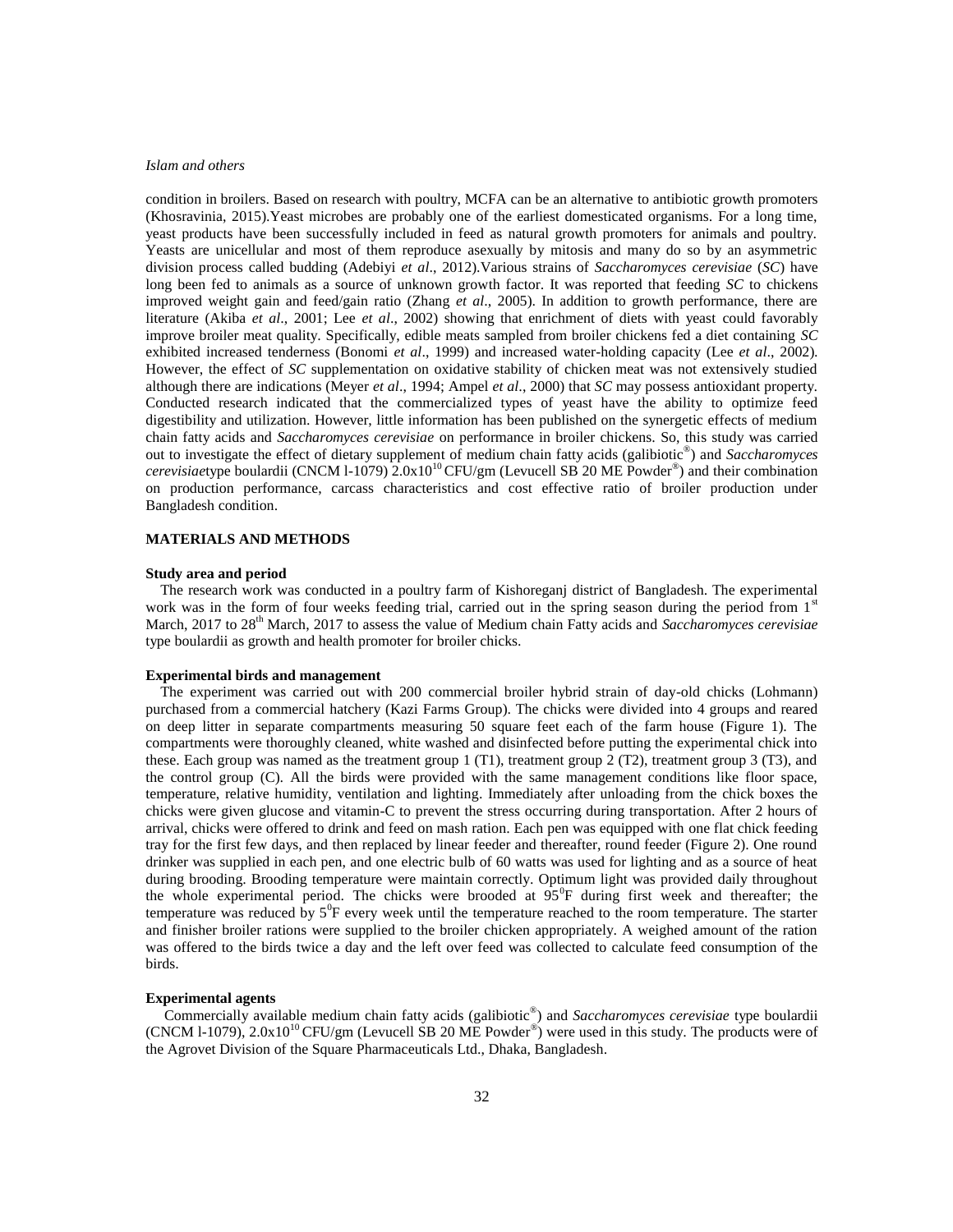condition in broilers. Based on research with poultry, MCFA can be an alternative to antibiotic growth promoters (Khosravinia, 2015).Yeast microbes are probably one of the earliest domesticated organisms. For a long time, yeast products have been successfully included in feed as natural growth promoters for animals and poultry. Yeasts are unicellular and most of them reproduce asexually by mitosis and many do so by an asymmetric division process called budding (Adebiyi *et al*., 2012).Various strains of *Saccharomyces cerevisiae* (*SC*) have long been fed to animals as a source of unknown growth factor. It was reported that feeding *SC* to chickens improved weight gain and feed/gain ratio (Zhang *et al*., 2005). In addition to growth performance, there are literature (Akiba *et al*., 2001; Lee *et al*., 2002) showing that enrichment of diets with yeast could favorably improve broiler meat quality. Specifically, edible meats sampled from broiler chickens fed a diet containing *SC*  exhibited increased tenderness (Bonomi *et al*., 1999) and increased water-holding capacity (Lee *et al*., 2002). However, the effect of *SC* supplementation on oxidative stability of chicken meat was not extensively studied although there are indications (Meyer *et al*., 1994; Ampel *et al*., 2000) that *SC* may possess antioxidant property. Conducted research indicated that the commercialized types of yeast have the ability to optimize feed digestibility and utilization. However, little information has been published on the synergetic effects of medium chain fatty acids and *Saccharomyces cerevisiae* on performance in broiler chickens. So, this study was carried out to investigate the effect of dietary supplement of medium chain fatty acids (galibiotic® ) and *Saccharomyces*  cerevisiaetype boulardii (CNCM 1-1079) 2.0x10<sup>10</sup> CFU/gm (Levucell SB 20 ME Powder<sup>®</sup>) and their combination on production performance, carcass characteristics and cost effective ratio of broiler production under Bangladesh condition.

## **MATERIALS AND METHODS**

## **Study area and period**

 The research work was conducted in a poultry farm of Kishoreganj district of Bangladesh. The experimental work was in the form of four weeks feeding trial, carried out in the spring season during the period from 1<sup>st</sup> March, 2017 to 28<sup>th</sup> March, 2017 to assess the value of Medium chain Fatty acids and *Saccharomyces cerevisiae* type boulardii as growth and health promoter for broiler chicks.

## **Experimental birds and management**

 The experiment was carried out with 200 commercial broiler hybrid strain of day-old chicks (Lohmann) purchased from a commercial hatchery (Kazi Farms Group). The chicks were divided into 4 groups and reared on deep litter in separate compartments measuring 50 square feet each of the farm house (Figure 1). The compartments were thoroughly cleaned, white washed and disinfected before putting the experimental chick into these. Each group was named as the treatment group 1 (T1), treatment group 2 (T2), treatment group 3 (T3), and the control group (C). All the birds were provided with the same management conditions like floor space, temperature, relative humidity, ventilation and lighting. Immediately after unloading from the chick boxes the chicks were given glucose and vitamin-C to prevent the stress occurring during transportation. After 2 hours of arrival, chicks were offered to drink and feed on mash ration. Each pen was equipped with one flat chick feeding tray for the first few days, and then replaced by linear feeder and thereafter, round feeder (Figure 2). One round drinker was supplied in each pen, and one electric bulb of 60 watts was used for lighting and as a source of heat during brooding. Brooding temperature were maintain correctly. Optimum light was provided daily throughout the whole experimental period. The chicks were brooded at  $95^{\circ}F$  during first week and thereafter; the temperature was reduced by  $5^{\circ}$ F every week until the temperature reached to the room temperature. The starter and finisher broiler rations were supplied to the broiler chicken appropriately. A weighed amount of the ration was offered to the birds twice a day and the left over feed was collected to calculate feed consumption of the birds.

## **Experimental agents**

 Commercially available medium chain fatty acids (galibiotic® ) and *Saccharomyces cerevisiae* type boulardii  $(CNCM 1-1079)$ ,  $2.0x10^{10} CFU/gm$  (Levucell SB 20 ME Powder<sup>®</sup>) were used in this study. The products were of the Agrovet Division of the Square Pharmaceuticals Ltd., Dhaka, Bangladesh.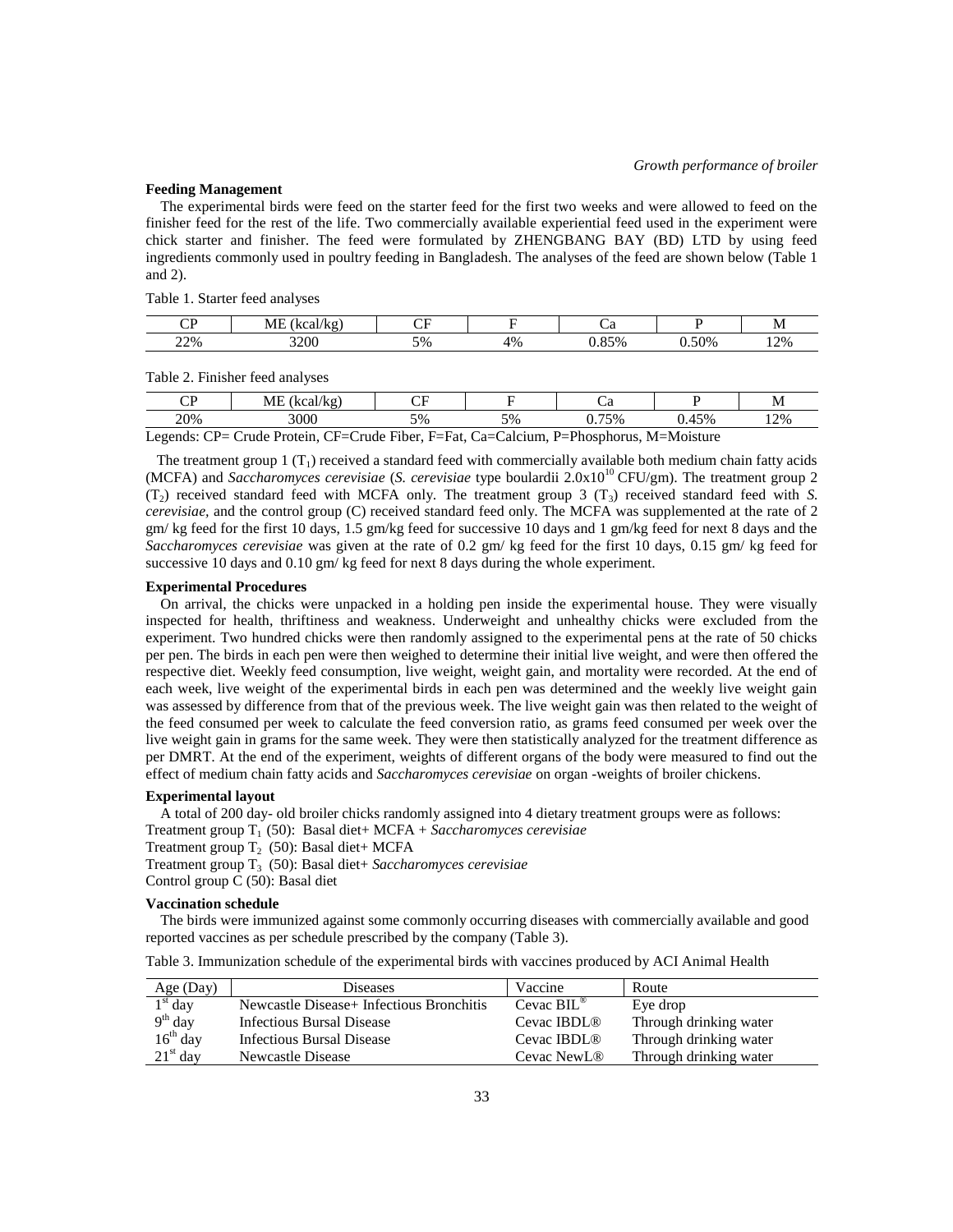## **Feeding Management**

 The experimental birds were feed on the starter feed for the first two weeks and were allowed to feed on the finisher feed for the rest of the life. Two commercially available experiential feed used in the experiment were chick starter and finisher. The feed were formulated by ZHENGBANG BAY (BD) LTD by using feed ingredients commonly used in poultry feeding in Bangladesh. The analyses of the feed are shown below (Table 1 and 2).

Table 1. Starter feed analyses

| $\cap$ n<br>ີ | МE<br>[kcal/kg] | $\sim$ $\sim$<br>ີ |    | ~u  |       | <b>N</b> |
|---------------|-----------------|--------------------|----|-----|-------|----------|
| 22%           | 3200            | 5%                 | 4% | 85% | ).50% | 12%      |

Table 2. Finisher feed analyses

| σD<br>ີ | $\overline{11}$<br>$\sqrt{ }$<br>$17001/17\sigma$<br>NGH/RE<br>17.LL<br>. . | $\sim$ $\sim$<br>◡▴                                      |                                  |                        |                 | M   |
|---------|-----------------------------------------------------------------------------|----------------------------------------------------------|----------------------------------|------------------------|-----------------|-----|
| 20%     | 2000<br>w                                                                   | 5%                                                       | $\epsilon$ <sup>0</sup><br>$5\%$ | 750%<br>70<br><u>ັ</u> | 5%              | 12% |
| $\sim$  | $\sim$<br>$\sim$<br>$\sim$<br>D                                             | $T^{\prime}$<br>$\blacksquare$<br>$\sim$<br>$\mathbf{r}$ | $\sim$<br>$\cdots$               | $\mathbf{L}$<br>n.     | $\cdots$<br>. . |     |

Legends: CP= Crude Protein, CF=Crude Fiber, F=Fat, Ca=Calcium, P=Phosphorus, M=Moisture

The treatment group  $1(T_1)$  received a standard feed with commercially available both medium chain fatty acids (MCFA) and *Saccharomyces cerevisiae* (*S. cerevisiae* type boulardii 2.0x10<sup>10</sup> CFU/gm). The treatment group 2  $(T_2)$  received standard feed with MCFA only. The treatment group 3  $(T_3)$  received standard feed with *S*. *cerevisiae,* and the control group (C) received standard feed only. The MCFA was supplemented at the rate of 2 gm/ kg feed for the first 10 days, 1.5 gm/kg feed for successive 10 days and 1 gm/kg feed for next 8 days and the *Saccharomyces cerevisiae* was given at the rate of 0.2 gm/ kg feed for the first 10 days, 0.15 gm/ kg feed for successive 10 days and 0.10 gm/ kg feed for next 8 days during the whole experiment.

### **Experimental Procedures**

 On arrival, the chicks were unpacked in a holding pen inside the experimental house. They were visually inspected for health, thriftiness and weakness. Underweight and unhealthy chicks were excluded from the experiment. Two hundred chicks were then randomly assigned to the experimental pens at the rate of 50 chicks per pen. The birds in each pen were then weighed to determine their initial live weight, and were then offered the respective diet. Weekly feed consumption, live weight, weight gain, and mortality were recorded. At the end of each week, live weight of the experimental birds in each pen was determined and the weekly live weight gain was assessed by difference from that of the previous week. The live weight gain was then related to the weight of the feed consumed per week to calculate the feed conversion ratio, as grams feed consumed per week over the live weight gain in grams for the same week. They were then statistically analyzed for the treatment difference as per DMRT. At the end of the experiment, weights of different organs of the body were measured to find out the effect of medium chain fatty acids and *Saccharomyces cerevisiae* on organ -weights of broiler chickens.

### **Experimental layout**

A total of 200 day- old broiler chicks randomly assigned into 4 dietary treatment groups were as follows:

Treatment group T<sub>1</sub> (50): Basal diet+ MCFA + *Saccharomyces cerevisiae* 

Treatment group  $T_2$  (50): Basal diet+ MCFA

Treatment group T3 (50): Basal diet+ *Saccharomyces cerevisiae*

Control group  $\tilde{C}$  (50): Basal diet

## **Vaccination schedule**

 The birds were immunized against some commonly occurring diseases with commercially available and good reported vaccines as per schedule prescribed by the company (Table 3).

| Age (Day)  | <b>Diseases</b>                           | Vaccine                 | Route                  |
|------------|-------------------------------------------|-------------------------|------------------------|
| $1st$ day  | Newcastle Disease + Infectious Bronchitis | Cevac $BIL^{\omega}$    | Eye drop               |
| $9th$ day  | Infectious Bursal Disease                 | Cevac IBDL <sup>®</sup> | Through drinking water |
| $16th$ day | Infectious Bursal Disease                 | Cevac IBDL <sup>®</sup> | Through drinking water |
| $21st$ day | Newcastle Disease                         | Cevac NewL <sup>®</sup> | Through drinking water |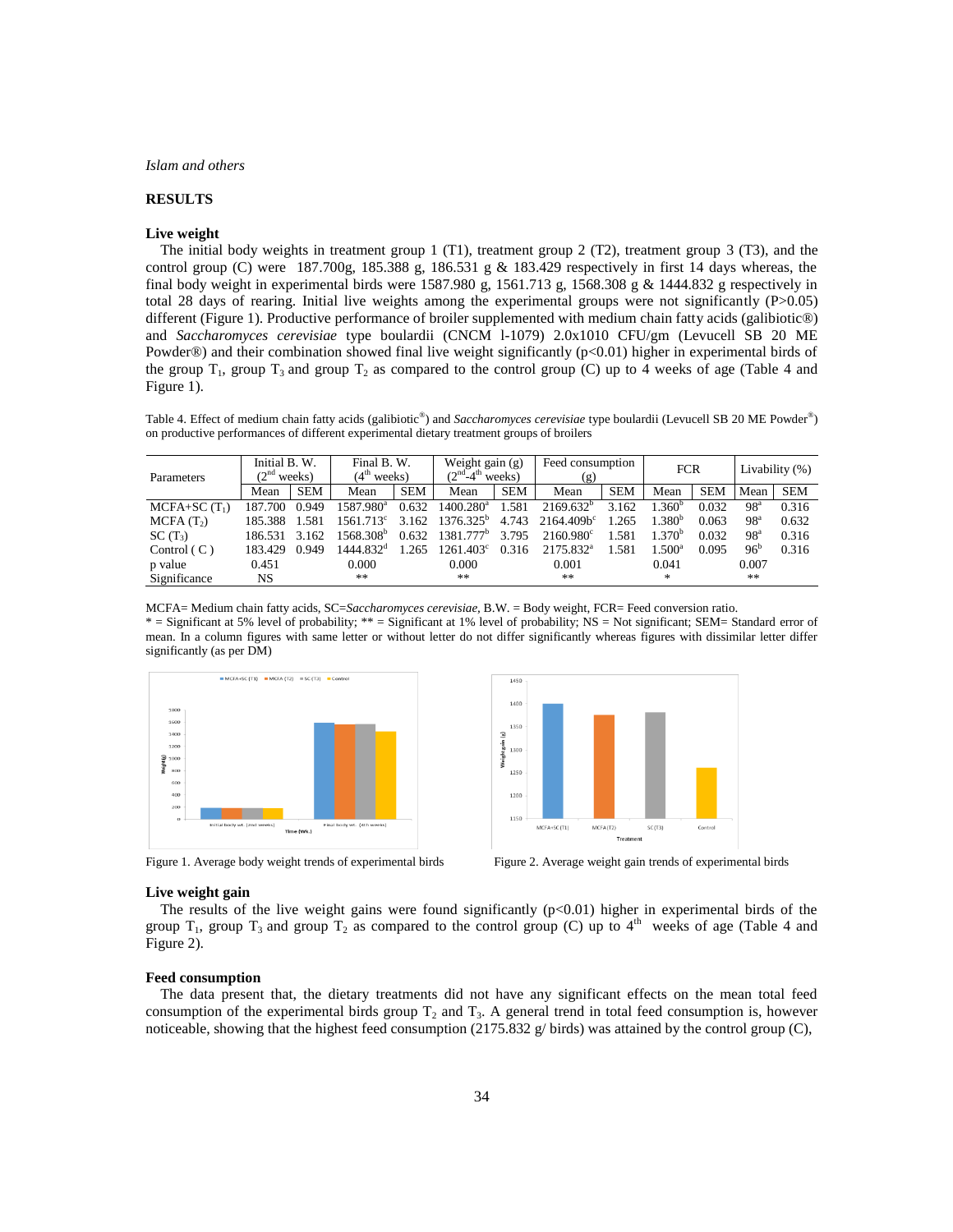# **RESULTS**

#### **Live weight**

 The initial body weights in treatment group 1 (T1), treatment group 2 (T2), treatment group 3 (T3), and the control group (C) were 187.700g, 185.388 g, 186.531 g & 183.429 respectively in first 14 days whereas, the final body weight in experimental birds were 1587.980 g, 1561.713 g, 1568.308 g & 1444.832 g respectively in total 28 days of rearing. Initial live weights among the experimental groups were not significantly (P>0.05) different (Figure 1). Productive performance of broiler supplemented with medium chain fatty acids (galibiotic®) and *Saccharomyces cerevisiae* type boulardii (CNCM l-1079) 2.0x1010 CFU/gm (Levucell SB 20 ME Powder®) and their combination showed final live weight significantly (p<0.01) higher in experimental birds of the group  $T_1$ , group  $T_3$  and group  $T_2$  as compared to the control group (C) up to 4 weeks of age (Table 4 and Figure 1).

Table 4. Effect of medium chain fatty acids (galibiotic®) and *Saccharomyces cerevisiae* type boulardii (Levucell SB 20 ME Powder®) on productive performances of different experimental dietary treatment groups of broilers

| <b>Parameters</b>     | Initial B. W.<br>(2 <sup>nd</sup> weeks) |            | Final B.W.<br>(4 <sup>th</sup> weeks) |            | Weight gain $(g)$<br>$(2nd-4th weeks)$ |            | Feed consumption<br>(g) |            | <b>FCR</b>         |            | Livability $(\%)$ |            |
|-----------------------|------------------------------------------|------------|---------------------------------------|------------|----------------------------------------|------------|-------------------------|------------|--------------------|------------|-------------------|------------|
|                       | Mean                                     | <b>SEM</b> | Mean                                  | <b>SEM</b> | Mean                                   | <b>SEM</b> | Mean                    | <b>SEM</b> | Mean               | <b>SEM</b> | Mean              | <b>SEM</b> |
| $MCFA+SC(T1)$         | 187.700                                  | 0.949      | 1587.980 <sup>a</sup>                 | 0.632      | $1400.280$ <sup>a</sup>                | 1.581      | $2169.632^{b}$          | 3.162      | 1.360 <sup>b</sup> | 0.032      | 98 <sup>a</sup>   | 0.316      |
| MCPA(T <sub>2</sub> ) | 185.388                                  | 1.581      | $1561.713^c$                          | 3.162      | $1376.325^b$                           | 4.743      | $2164.409b^{c}$         | 1.265      | 1.380 <sup>b</sup> | 0.063      | 98 <sup>a</sup>   | 0.632      |
| $SC(T_3)$             | 186.531                                  | 3.162      | 1568.308 <sup>b</sup>                 | 0.632      | $1381.777^b$                           | 3.795      | $2160.980^{\circ}$      | 1.581      | 1.370 <sup>b</sup> | 0.032      | 98 <sup>a</sup>   | 0.316      |
| Control $(C)$         | 183.429                                  | 0.949      | 1444.832 <sup>d</sup>                 | 1.265      | $1261.403^{\circ}$                     | 0.316      | 2175.832 <sup>a</sup>   | 1.581      | $1.500^{\rm a}$    | 0.095      | 96 <sup>b</sup>   | 0.316      |
| p value               | 0.451                                    |            | 0.000                                 |            | 0.000                                  |            | 0.001                   |            | 0.041              |            | 0.007             |            |
| Significance          | NS.                                      |            | **                                    |            | **                                     |            | **                      |            | *                  |            | **                |            |

MCFA= Medium chain fatty acids, SC=*Saccharomyces cerevisiae,* B.W. = Body weight, FCR= Feed conversion ratio. \* = Significant at 5% level of probability; \*\* = Significant at 1% level of probability; NS = Not significant; SEM= Standard error of mean. In a column figures with same letter or without letter do not differ significantly whereas figures with dissimilar letter differ significantly (as per DM)



Figure 1. Average body weight trends of experimental birds Figure 2. Average weight gain trends of experimental birds



#### **Live weight gain**

The results of the live weight gains were found significantly  $(p<0.01)$  higher in experimental birds of the group  $T_1$ , group  $T_3$  and group  $T_2$  as compared to the control group (C) up to 4<sup>th</sup> weeks of age (Table 4 and Figure 2).

## **Feed consumption**

 The data present that, the dietary treatments did not have any significant effects on the mean total feed consumption of the experimental birds group  $T_2$  and  $T_3$ . A general trend in total feed consumption is, however noticeable, showing that the highest feed consumption (2175.832  $g$ / birds) was attained by the control group (C),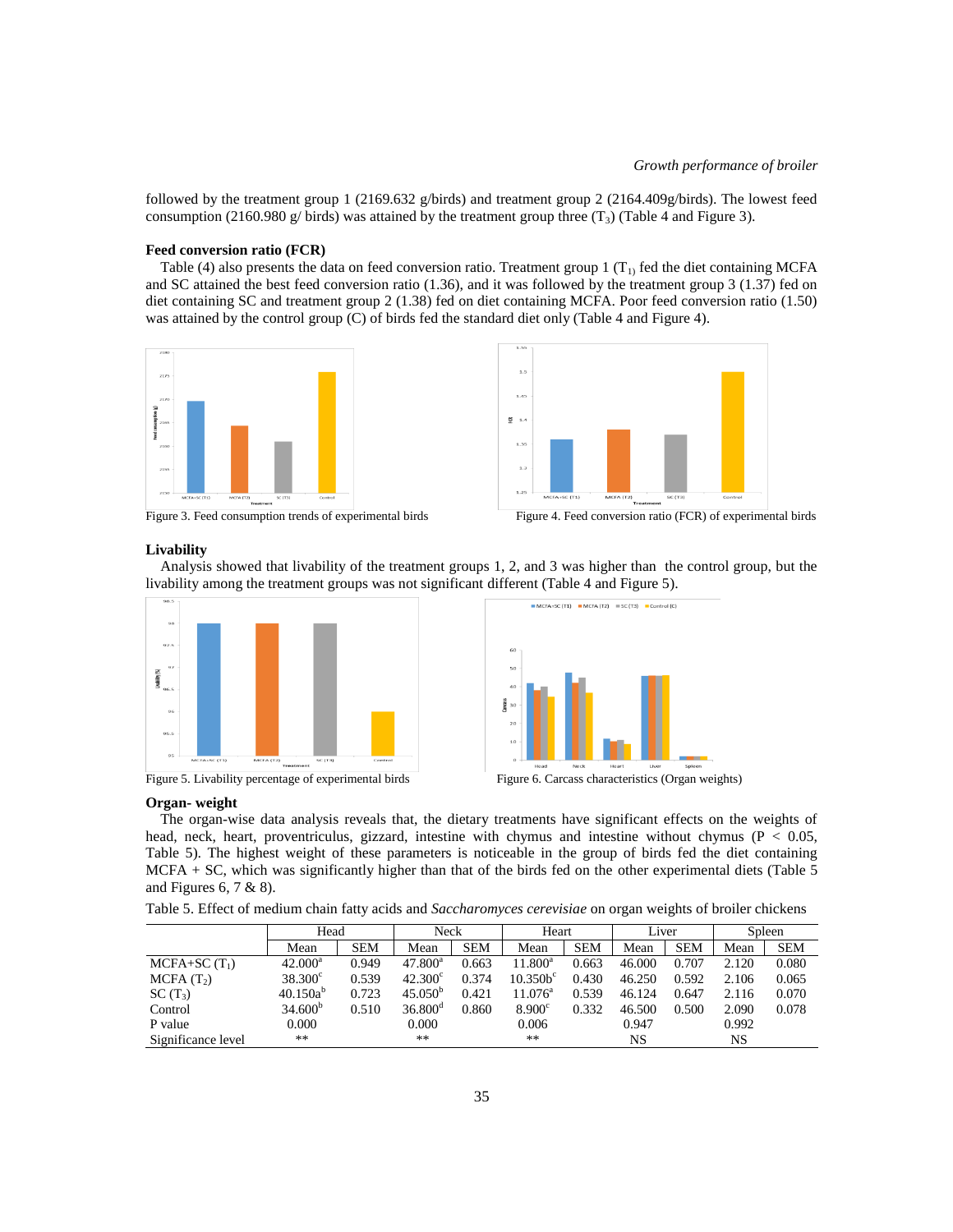followed by the treatment group 1 (2169.632 g/birds) and treatment group 2 (2164.409g/birds). The lowest feed consumption (2160.980 g/ birds) was attained by the treatment group three  $(T_3)$  (Table 4 and Figure 3).

## **Feed conversion ratio (FCR)**

Table (4) also presents the data on feed conversion ratio. Treatment group 1 ( $T<sub>1</sub>$ ) fed the diet containing MCFA and SC attained the best feed conversion ratio (1.36), and it was followed by the treatment group 3 (1.37) fed on diet containing SC and treatment group 2 (1.38) fed on diet containing MCFA. Poor feed conversion ratio (1.50) was attained by the control group (C) of birds fed the standard diet only (Table 4 and Figure 4).





Figure 3. Feed consumption trends of experimental birds



#### **Livability**

 Analysis showed that livability of the treatment groups 1, 2, and 3 was higher than the control group, but the livability among the treatment groups was not significant different (Table 4 and Figure 5).



Figure 5. Livability percentage of experimental birds Figure 6. Carcass characteristics (Organ weights)



#### **Organ- weight**

 The organ-wise data analysis reveals that, the dietary treatments have significant effects on the weights of head, neck, heart, proventriculus, gizzard, intestine with chymus and intestine without chymus (P < 0.05, Table 5). The highest weight of these parameters is noticeable in the group of birds fed the diet containing MCFA + SC, which was significantly higher than that of the birds fed on the other experimental diets (Table 5 and Figures 6, 7 & 8).

| Table 5. Effect of medium chain fatty acids and Saccharomyces cerevisiae on organ weights of broiler chickens |  |  |
|---------------------------------------------------------------------------------------------------------------|--|--|
|                                                                                                               |  |  |

|                       | Head                |            | Neck             |            |                     | Heart      |        | Liver      |       | Spleen     |  |
|-----------------------|---------------------|------------|------------------|------------|---------------------|------------|--------|------------|-------|------------|--|
|                       | Mean                | <b>SEM</b> | Mean             | <b>SEM</b> | Mean                | <b>SEM</b> | Mean   | <b>SEM</b> | Mean  | <b>SEM</b> |  |
| $MCPA+SC(T1)$         | $42.000^a$          | 0.949      | $47.800^{\rm a}$ | 0.663      | $11.800^a$          | 0.663      | 46.000 | 0.707      | 2.120 | 0.080      |  |
| MCPA(T <sub>2</sub> ) | $38.300^{\circ}$    | 0.539      | $42.300^{\circ}$ | 0.374      | 10.350 <sup>c</sup> | 0.430      | 46.250 | 0.592      | 2.106 | 0.065      |  |
| $SC(T_3)$             | $40.150a^{b}$       | 0.723      | $45.050^{\circ}$ | 0.421      | $11.076^{\circ}$    | 0.539      | 46.124 | 0.647      | 2.116 | 0.070      |  |
| Control               | 34.600 <sup>b</sup> | 0.510      | $36.800^{\circ}$ | 0.860      | 8.900 <sup>c</sup>  | 0.332      | 46.500 | 0.500      | 2.090 | 0.078      |  |
| P value               | 0.000               |            | 0.000            |            | 0.006               |            | 0.947  |            | 0.992 |            |  |
| Significance level    | $***$               |            | **               |            | **                  |            | NS     |            | NS    |            |  |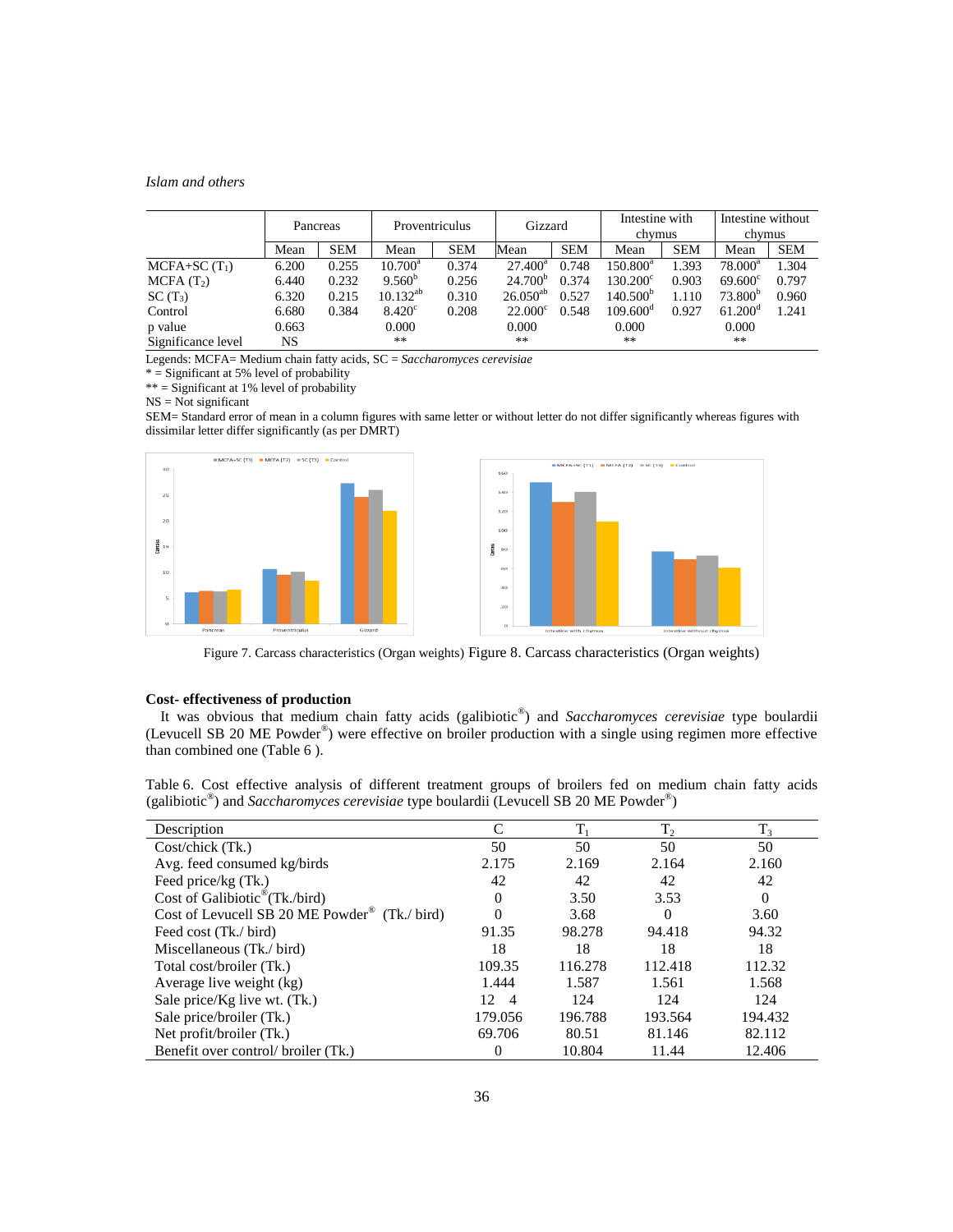|                       | Pancreas |            | Proventriculus   |            | Gizzard          |            | Intestine with<br>chymus |            | Intestine without<br>chymus |            |
|-----------------------|----------|------------|------------------|------------|------------------|------------|--------------------------|------------|-----------------------------|------------|
|                       | Mean     | <b>SEM</b> | Mean             | <b>SEM</b> | Mean             | <b>SEM</b> | Mean                     | <b>SEM</b> | Mean                        | <b>SEM</b> |
| $MCPA+SC(T1)$         | 6.200    | 0.255      | $10.700^{\rm a}$ | 0.374      | $27.400^a$       | 0.748      | $150.800^{\circ}$        | 1.393      | $78.000^a$                  | 1.304      |
| MCPA(T <sub>2</sub> ) | 6.440    | 0.232      | $9.560^{o}$      | 0.256      | $24.700^{\circ}$ | 0.374      | $130.200^{\circ}$        | 0.903      | $69.600^{\circ}$            | 0.797      |
| $SC(T_3)$             | 6.320    | 0.215      | $10.132^{ab}$    | 0.310      | $26.050^{ab}$    | 0.527      | $140.500^{b}$            | 1.110      | 73.800 <sup>b</sup>         | 0.960      |
| Control               | 6.680    | 0.384      | $8.420^{\circ}$  | 0.208      | $22.000^{\circ}$ | 0.548      | $109.600^{\circ}$        | 0.927      | $61.200^{\circ}$            | 1.241      |
| p value               | 0.663    |            | 0.000            |            | 0.000            |            | 0.000                    |            | 0.000                       |            |
| Significance level    | NS       |            | **               |            | $***$            |            | $***$                    |            | $**$                        |            |

Legends: MCFA= Medium chain fatty acids, SC = *Saccharomyces cerevisiae*

\* = Significant at 5% level of probability

 $** =$  Significant at 1% level of probability

 $NS = Not$  significant

SEM= Standard error of mean in a column figures with same letter or without letter do not differ significantly whereas figures with dissimilar letter differ significantly (as per DMRT)



Figure 7. Carcass characteristics (Organ weights) Figure 8. Carcass characteristics (Organ weights)

# **Cost- effectiveness of production**

 It was obvious that medium chain fatty acids (galibiotic® ) and *Saccharomyces cerevisiae* type boulardii (Levucell SB 20 ME Powder® ) were effective on broiler production with a single using regimen more effective than combined one (Table 6 ).

Table 6. Cost effective analysis of different treatment groups of broilers fed on medium chain fatty acids (galibiotic<sup>®</sup>) and *Saccharomyces cerevisiae* type boulardii (Levucell SB 20 ME Powder<sup>®</sup>)

| Description                                               |                       | $T_1$   | $T_2$    | $T_3$    |
|-----------------------------------------------------------|-----------------------|---------|----------|----------|
| $Cost/check$ (Tk.)                                        | 50                    | 50      | 50       | 50       |
| Avg. feed consumed kg/birds                               | 2.175                 | 2.169   | 2.164    | 2.160    |
| Feed price/kg (Tk.)                                       | 42                    | 42      | 42       | 42       |
| Cost of Galibiotic <sup>®</sup> (Tk./bird)                | 0                     | 3.50    | 3.53     | $\theta$ |
| Cost of Levucell SB 20 ME Powder <sup>®</sup> (Tk./ bird) |                       | 3.68    | $\theta$ | 3.60     |
| Feed cost (Tk./ bird)                                     | 91.35                 | 98.278  | 94.418   | 94.32    |
| Miscellaneous (Tk./ bird)                                 | 18                    | 18      | 18       | 18       |
| Total cost/broiler (Tk.)                                  | 109.35                | 116.278 | 112.418  | 112.32   |
| Average live weight (kg)                                  | 1.444                 | 1.587   | 1.561    | 1.568    |
| Sale price/Kg live wt. (Tk.)                              | 12.<br>$\overline{4}$ | 124     | 124      | 124      |
| Sale price/broiler (Tk.)                                  | 179.056               | 196.788 | 193.564  | 194.432  |
| Net profit/broiler (Tk.)                                  | 69.706                | 80.51   | 81.146   | 82.112   |
| Benefit over control/ broiler (Tk.)                       | 0                     | 10.804  | 11.44    | 12.406   |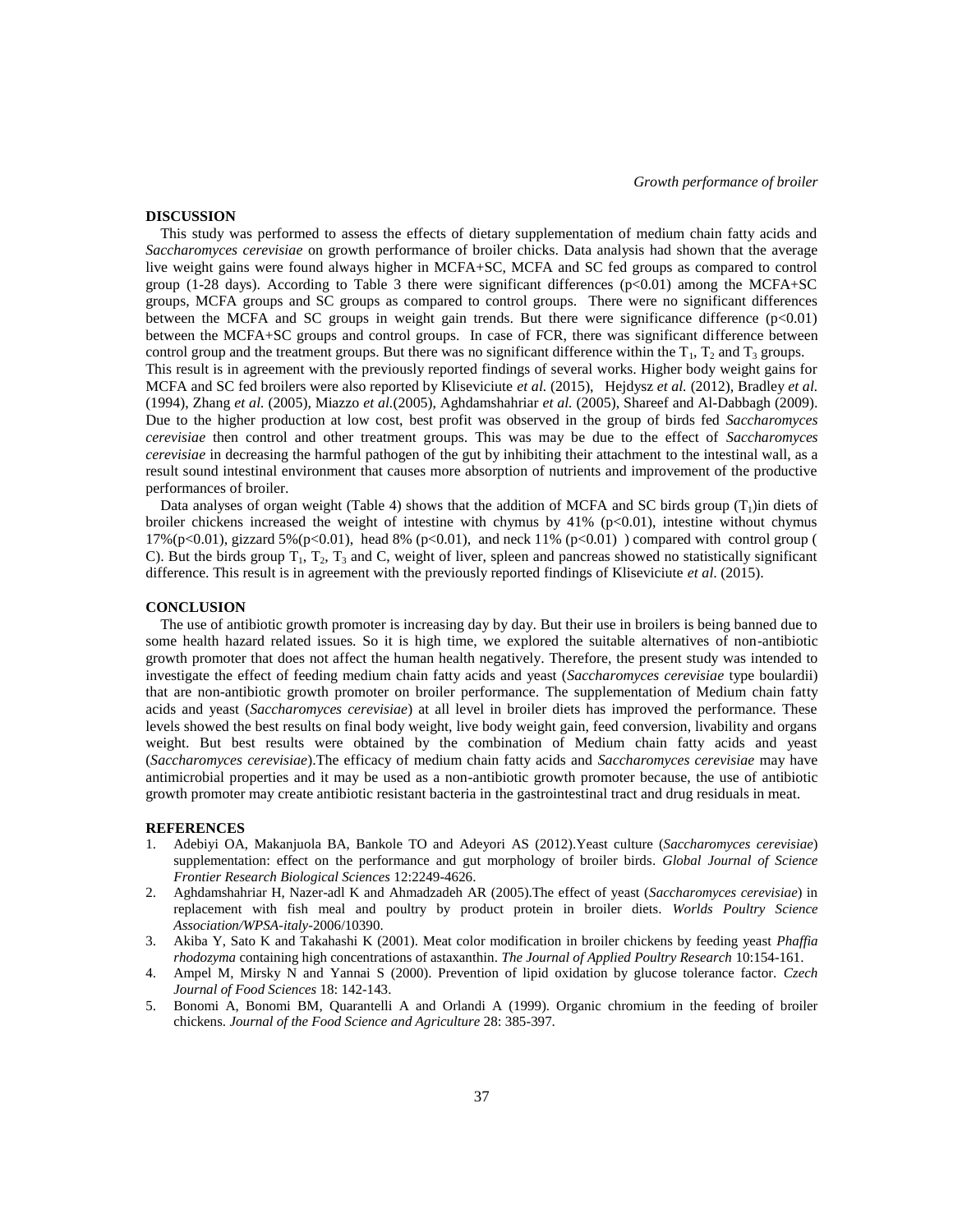## **DISCUSSION**

 This study was performed to assess the effects of dietary supplementation of medium chain fatty acids and *Saccharomyces cerevisiae* on growth performance of broiler chicks. Data analysis had shown that the average live weight gains were found always higher in MCFA+SC, MCFA and SC fed groups as compared to control group (1-28 days). According to Table 3 there were significant differences  $(p<0.01)$  among the MCFA+SC groups, MCFA groups and SC groups as compared to control groups. There were no significant differences between the MCFA and SC groups in weight gain trends. But there were significance difference (p<0.01) between the MCFA+SC groups and control groups. In case of FCR, there was significant difference between control group and the treatment groups. But there was no significant difference within the  $T_1$ ,  $T_2$  and  $T_3$  groups. This result is in agreement with the previously reported findings of several works. Higher body weight gains for MCFA and SC fed broilers were also reported by Kliseviciute *et al.* (2015), Hejdysz *et al.* (2012), Bradley *et al.*  (1994), Zhang *et al.* (2005), Miazzo *et al.*(2005), Aghdamshahriar *et al.* (2005), Shareef and Al-Dabbagh (2009). Due to the higher production at low cost, best profit was observed in the group of birds fed *Saccharomyces cerevisiae* then control and other treatment groups. This was may be due to the effect of *Saccharomyces cerevisiae* in decreasing the harmful pathogen of the gut by inhibiting their attachment to the intestinal wall, as a result sound intestinal environment that causes more absorption of nutrients and improvement of the productive performances of broiler.

Data analyses of organ weight (Table 4) shows that the addition of MCFA and SC birds group  $(T_1)$ in diets of broiler chickens increased the weight of intestine with chymus by 41% (p<0.01), intestine without chymus 17%(p<0.01), gizzard 5%(p<0.01), head 8% (p<0.01), and neck 11% (p<0.01) ) compared with control group ( C). But the birds group  $T_1$ ,  $T_2$ ,  $T_3$  and C, weight of liver, spleen and pancreas showed no statistically significant difference. This result is in agreement with the previously reported findings of Kliseviciute *et al*. (2015).

## **CONCLUSION**

 The use of antibiotic growth promoter is increasing day by day. But their use in broilers is being banned due to some health hazard related issues. So it is high time, we explored the suitable alternatives of non-antibiotic growth promoter that does not affect the human health negatively. Therefore, the present study was intended to investigate the effect of feeding medium chain fatty acids and yeast (*Saccharomyces cerevisiae* type boulardii) that are non-antibiotic growth promoter on broiler performance. The supplementation of Medium chain fatty acids and yeast (*Saccharomyces cerevisiae*) at all level in broiler diets has improved the performance. These levels showed the best results on final body weight, live body weight gain, feed conversion, livability and organs weight. But best results were obtained by the combination of Medium chain fatty acids and yeast (*Saccharomyces cerevisiae*).The efficacy of medium chain fatty acids and *Saccharomyces cerevisiae* may have antimicrobial properties and it may be used as a non-antibiotic growth promoter because, the use of antibiotic growth promoter may create antibiotic resistant bacteria in the gastrointestinal tract and drug residuals in meat.

## **REFERENCES**

- 1. Adebiyi OA, Makanjuola BA, Bankole TO and Adeyori AS (2012).Yeast culture (*Saccharomyces cerevisiae*) supplementation: effect on the performance and gut morphology of broiler birds. *Global Journal of Science Frontier Research Biological Sciences* 12:2249-4626.
- 2. Aghdamshahriar H, Nazer-adl K and Ahmadzadeh AR (2005).The effect of yeast (*Saccharomyces cerevisiae*) in replacement with fish meal and poultry by product protein in broiler diets. *Worlds Poultry Science Association/WPSA-italy-*2006/10390.
- 3. Akiba Y, Sato K and Takahashi K (2001). Meat color modification in broiler chickens by feeding yeast *Phaffia rhodozyma* containing high concentrations of astaxanthin. *The Journal of Applied Poultry Research* 10:154-161.
- 4. Ampel M, Mirsky N and Yannai S (2000). Prevention of lipid oxidation by glucose tolerance factor. *Czech Journal of Food Sciences* 18: 142-143.
- 5. Bonomi A, Bonomi BM, Quarantelli A and Orlandi A (1999). Organic chromium in the feeding of broiler chickens. *Journal of the Food Science and Agriculture* 28: 385-397.